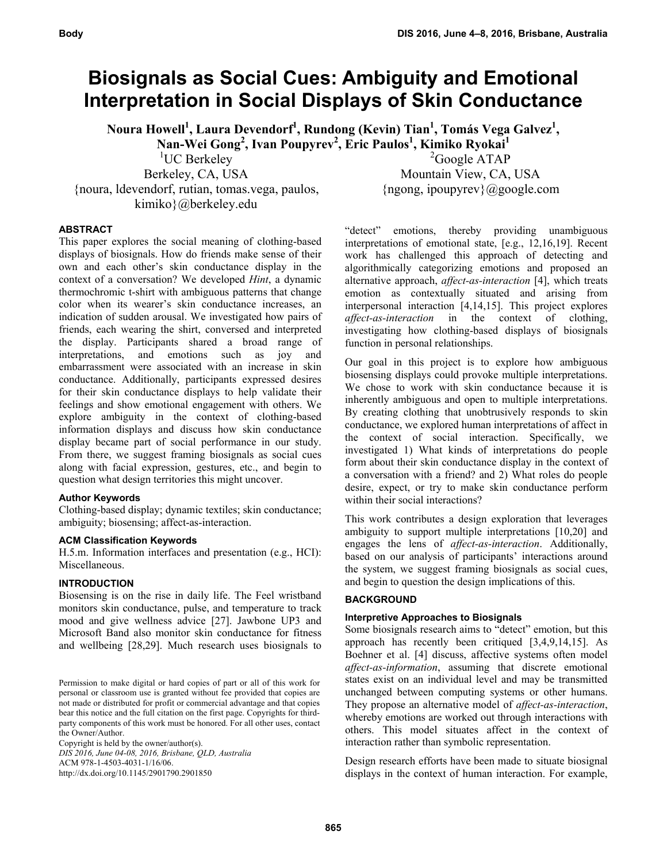# **Biosignals as Social Cues: Ambiguity and Emotional Interpretation in Social Displays of Skin Conductance**

**Noura Howell<sup>1</sup> , Laura Devendorf<sup>1</sup> , Rundong (Kevin) Tian<sup>1</sup> , Tomás Vega Galvez1 , Nan-Wei Gong2 , Ivan Poupyrev2 , Eric Paulos1 , Kimiko Ryokai1**

<sup>1</sup>UC Berkeley

Berkeley, CA, USA {noura, ldevendorf, rutian, tomas.vega, paulos, kimiko}@berkeley.edu

<sup>2</sup>Google ATAP Mountain View, CA, USA {ngong, ipoupyrev}@google.com

## **ABSTRACT**

This paper explores the social meaning of clothing-based displays of biosignals. How do friends make sense of their own and each other's skin conductance display in the context of a conversation? We developed *Hint*, a dynamic thermochromic t-shirt with ambiguous patterns that change color when its wearer's skin conductance increases, an indication of sudden arousal. We investigated how pairs of friends, each wearing the shirt, conversed and interpreted the display. Participants shared a broad range of interpretations, and emotions such as joy and embarrassment were associated with an increase in skin conductance. Additionally, participants expressed desires for their skin conductance displays to help validate their feelings and show emotional engagement with others. We explore ambiguity in the context of clothing-based information displays and discuss how skin conductance display became part of social performance in our study. From there, we suggest framing biosignals as social cues along with facial expression, gestures, etc., and begin to question what design territories this might uncover.

#### **Author Keywords**

Clothing-based display; dynamic textiles; skin conductance; ambiguity; biosensing; affect-as-interaction.

#### **ACM Classification Keywords**

H.5.m. Information interfaces and presentation (e.g., HCI): Miscellaneous.

#### **INTRODUCTION**

Biosensing is on the rise in daily life. The Feel wristband monitors skin conductance, pulse, and temperature to track mood and give wellness advice [27]. Jawbone UP3 and Microsoft Band also monitor skin conductance for fitness and wellbeing [28,29]. Much research uses biosignals to

Permission to make digital or hard copies of part or all of this work for personal or classroom use is granted without fee provided that copies are not made or distributed for profit or commercial advantage and that copies bear this notice and the full citation on the first page. Copyrights for thirdparty components of this work must be honored. For all other uses, contact the Owner/Author.

Copyright is held by the owner/author(s). *DIS 2016, June 04-08, 2016, Brisbane, QLD, Australia*  ACM 978-1-4503-4031-1/16/06. http://dx.doi.org/10.1145/2901790.2901850

"detect" emotions, thereby providing unambiguous interpretations of emotional state, [e.g., 12,16,19]. Recent work has challenged this approach of detecting and algorithmically categorizing emotions and proposed an alternative approach, *affect-as-interaction* [4], which treats emotion as contextually situated and arising from interpersonal interaction [4,14,15]. This project explores *affect-as-interaction* in the context of clothing, investigating how clothing-based displays of biosignals function in personal relationships.

Our goal in this project is to explore how ambiguous biosensing displays could provoke multiple interpretations. We chose to work with skin conductance because it is inherently ambiguous and open to multiple interpretations. By creating clothing that unobtrusively responds to skin conductance, we explored human interpretations of affect in the context of social interaction. Specifically, we investigated 1) What kinds of interpretations do people form about their skin conductance display in the context of a conversation with a friend? and 2) What roles do people desire, expect, or try to make skin conductance perform within their social interactions?

This work contributes a design exploration that leverages ambiguity to support multiple interpretations [10,20] and engages the lens of *affect-as-interaction*. Additionally, based on our analysis of participants' interactions around the system, we suggest framing biosignals as social cues, and begin to question the design implications of this.

## **BACKGROUND**

## **Interpretive Approaches to Biosignals**

Some biosignals research aims to "detect" emotion, but this approach has recently been critiqued [3,4,9,14,15]. As Boehner et al. [4] discuss, affective systems often model *affect-as-information*, assuming that discrete emotional states exist on an individual level and may be transmitted unchanged between computing systems or other humans. They propose an alternative model of *affect-as-interaction*, whereby emotions are worked out through interactions with others. This model situates affect in the context of interaction rather than symbolic representation.

Design research efforts have been made to situate biosignal displays in the context of human interaction. For example,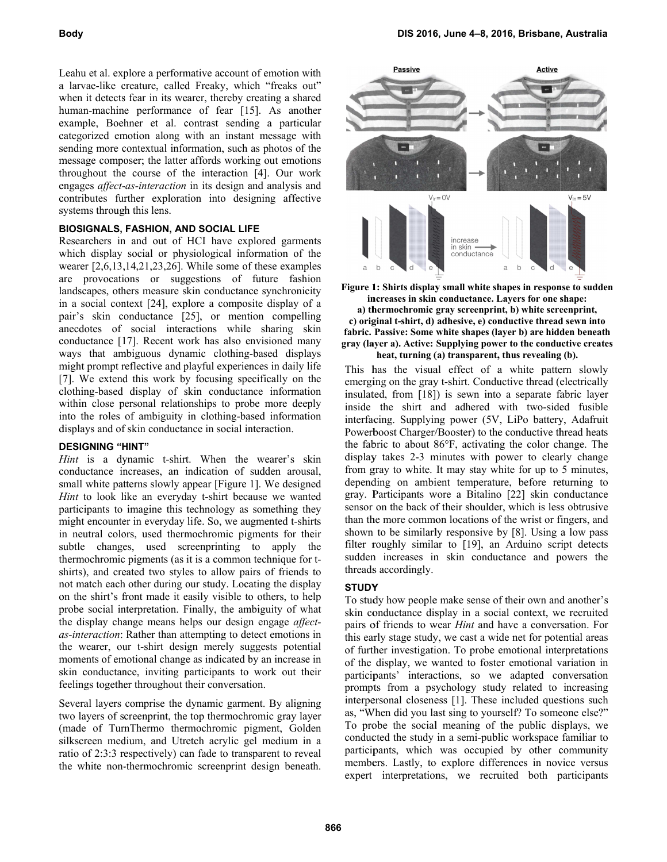Leahu et al. explore a performative account of emotion with a larvae-like creature, called Freaky, which "freaks out" when it detects fear in its wearer, thereby creating a shared human-machine performance of fear [15]. As another example, Boehner et al. contrast sending a particular categorized emotion along with an instant message with sending more contextual information, such as photos of the message composer; the latter affords working out emotions throughout the course of the interaction [4]. Our work engages affect-as-interaction in its design and analysis and contributes further exploration into designing affective systems through this lens.

#### **BIOSIGNALS, FASHION, AND SOCIAL LIFE**

Researchers in and out of HCI have explored garments which display social or physiological information of the wearer  $[2,6,13,14,21,23,26]$ . While some of these examples are provocations or suggestions of future fashion landscapes, others measure skin conductance synchronicity in a social context [24], explore a composite display of a pair's skin conductance [25], or mention compelling anecdotes of social interactions while sharing skin conductance [17]. Recent work has also envisioned many ways that ambiguous dynamic clothing-based displays might prompt reflective and playful experiences in daily life [7]. We extend this work by focusing specifically on the clothing-based display of skin conductance information within close personal relationships to probe more deeply into the roles of ambiguity in clothing-based information displays and of skin conductance in social interaction.

## **DESIGNING "HINT"**

*Hint* is a dynamic t-shirt. When the wearer's skin conductance increases, an indication of sudden arousal, small white patterns slowly appear [Figure 1]. We designed *Hint* to look like an everyday t-shirt because we wanted participants to imagine this technology as something they might encounter in everyday life. So, we augmented t-shirts in neutral colors, used thermochromic pigments for their subtle changes, used screenprinting to apply the thermochromic pigments (as it is a common technique for tshirts), and created two styles to allow pairs of friends to not match each other during our study. Locating the display on the shirt's front made it easily visible to others, to help probe social interpretation. Finally, the ambiguity of what the display change means helps our design engage affectas-interaction: Rather than attempting to detect emotions in the wearer, our t-shirt design merely suggests potential moments of emotional change as indicated by an increase in skin conductance, inviting participants to work out their feelings together throughout their conversation.

Several layers comprise the dynamic garment. By aligning two layers of screenprint, the top thermochromic gray layer (made of TurnThermo thermochromic pigment, Golden silkscreen medium, and Utretch acrylic gel medium in a ratio of 2:3:3 respectively) can fade to transparent to reveal the white non-thermochromic screenprint design beneath.





a) thermochromic gray screenprint, b) white screenprint, c) original t-shirt, d) adhesive, e) conductive thread sewn into fabric. Passive: Some white shapes (layer b) are hidden beneath gray (layer a). Active: Supplying power to the conductive creates heat, turning (a) transparent, thus revealing (b).

This has the visual effect of a white pattern slowly emerging on the gray t-shirt. Conductive thread (electrically insulated, from [18]) is sewn into a separate fabric layer inside the shirt and adhered with two-sided fusible interfacing. Supplying power (5V, LiPo battery, Adafruit Powerboost Charger/Booster) to the conductive thread heats the fabric to about 86°F, activating the color change. The display takes 2-3 minutes with power to clearly change from gray to white. It may stay white for up to 5 minutes, depending on ambient temperature, before returning to gray. Participants wore a Bitalino [22] skin conductance sensor on the back of their shoulder, which is less obtrusive than the more common locations of the wrist or fingers, and shown to be similarly responsive by [8]. Using a low pass filter roughly similar to [19], an Arduino script detects sudden increases in skin conductance and powers the threads accordingly.

## **STUDY**

To study how people make sense of their own and another's skin conductance display in a social context, we recruited pairs of friends to wear *Hint* and have a conversation. For this early stage study, we cast a wide net for potential areas of further investigation. To probe emotional interpretations of the display, we wanted to foster emotional variation in participants' interactions, so we adapted conversation prompts from a psychology study related to increasing interpersonal closeness [1]. These included questions such as, "When did you last sing to yourself? To someone else?" To probe the social meaning of the public displays, we conducted the study in a semi-public workspace familiar to participants, which was occupied by other community members. Lastly, to explore differences in novice versus expert interpretations, we recruited both participants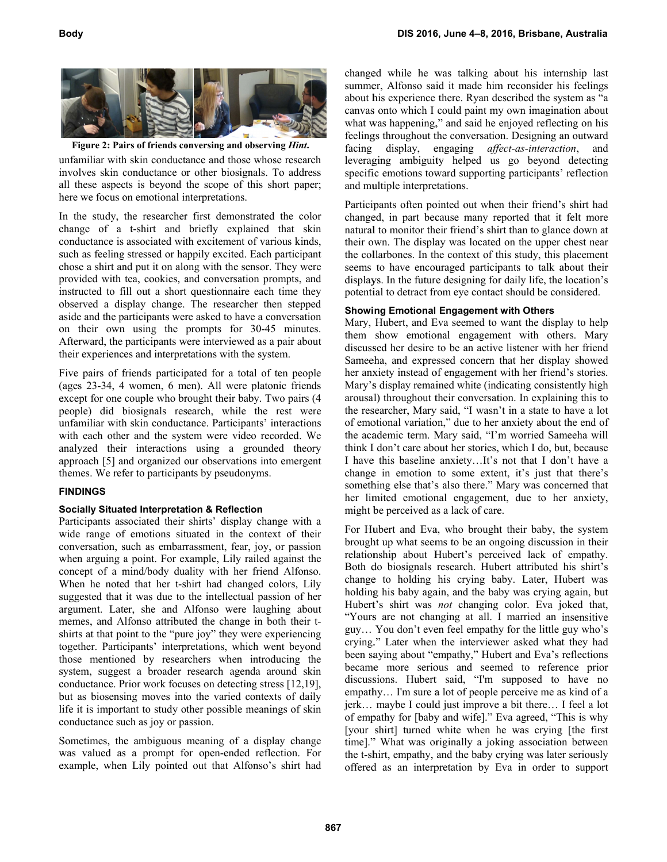

Figure 2: Pairs of friends conversing and observing *Hint*.

unfamiliar with skin conductance and those whose research involves skin conductance or other biosignals. To address all these aspects is beyond the scope of this short paper; here we focus on emotional interpretations.

In the study, the researcher first demonstrated the color change of a t-shirt and briefly explained that skin conductance is associated with excitement of various kinds, such as feeling stressed or happily excited. Each participant chose a shirt and put it on along with the sensor. They were provided with tea, cookies, and conversation prompts, and instructed to fill out a short questionnaire each time they observed a display change. The researcher then stepped aside and the participants were asked to have a conversation on their own using the prompts for 30-45 minutes. Afterward, the participants were interviewed as a pair about their experiences and interpretations with the system.

Five pairs of friends participated for a total of ten people (ages 23-34, 4 women, 6 men). All were platonic friends except for one couple who brought their baby. Two pairs (4 people) did biosignals research, while the rest were unfamiliar with skin conductance. Participants' interactions with each other and the system were video recorded. We analyzed their interactions using a grounded theory approach [5] and organized our observations into emergent themes. We refer to participants by pseudonyms.

## **F FINDINGS**

#### **Socially Situated Interpretation & Reflection**

Participants associated their shirts' display change with a wide range of emotions situated in the context of their conversation, such as embarrassment, fear, joy, or passion when arguing a point. For example, Lily railed against the concept of a mind/body duality with her friend Alfonso. When he noted that her t-shirt had changed colors, Lily suggested that it was due to the intellectual passion of her argument. Later, she and Alfonso were laughing about memes, and Alfonso attributed the change in both their tshirts at that point to the "pure joy" they were experiencing together. Participants' interpretations, which went beyond those mentioned by researchers when introducing the system, suggest a broader research agenda around skin conductance. Prior work focuses on detecting stress [12,19], but as biosensing moves into the varied contexts of daily life it is important to study other possible meanings of skin conductance such as joy or passion.

Sometimes, the ambiguous meaning of a display change was valued as a prompt for open-ended reflection. For example, when Lily pointed out that Alfonso's shirt had changed while he was talking about his internship last summer, Alfonso said it made him reconsider his feelings about his experience there. Ryan described the system as "a canvas onto which I could paint my own imagination about what was happening," and said he enjoyed reflecting on his feelings throughout the conversation. Designing an outward facing display, engaging affect-as-interaction, and leveraging ambiguity helped us go beyond detecting specific emotions toward supporting participants' reflection and multiple interpretations.

Participants often pointed out when their friend's shirt had changed, in part because many reported that it felt more natural to monitor their friend's shirt than to glance down at their own. The display was located on the upper chest near the collarbones. In the context of this study, this placement seems to have encouraged participants to talk about their displays. In the future designing for daily life, the location's potential to detract from eye contact should be considered.

#### **Showi ng Emotional Engagement with Others**

Mary, Hubert, and E Eva seemed to want the disp lay to help them show emotional engagement with others. Mary discussed her desire to be an active listener with her friend Sameeha, and expressed concern that her display showed her anxiety instead of engagement with her friend's stories. Mary's display remained white (indicating consistently high arousal) throughout their conversation. In explaining this to the researcher, Mary said, "I wasn't in a state to have a lot of emotional variation," due to her anxiety about the end of the academic term. Mary said, "I'm worried Sameeha will think I don't care about her stories, which I do, but, because I have this baseline anxiety...It's not that I don't have a change in emotion to some extent, it's just that there's something else that's also there." Mary was concerned that her limited emotional engagement, due to her anxiety, might be perceived as a lack of care.

For Hubert and Eva, who brought their baby, the system brought up what seems to be an ongoing discussion in their relationship about Hubert's perceived lack of empathy. Both do biosignals research. Hubert attributed his shirt's change to holding his crying baby. Later, Hubert was holding his baby again, and the baby was crying again, but Hubert's shirt was not changing color. Eva joked that, "Yours are not changing at all. I married an insensitive guy... You don't even feel empathy for the little guy who's crying." Later when the interviewer asked what they had been saying about "empathy," Hubert and Eva's reflections became more serious and seemed to reference prior discussions. Hubert said, "I'm supposed to have no empathy... I'm sure a lot of people perceive me as kind of a jerk... maybe I could just improve a bit there... I feel a lot of empathy for [baby and wife]." Eva agreed, "This is why [your shirt] turned white when he was crying [the first] time]." What was originally a joking association between the t-shirt, empathy, and the baby crying was later seriously offered as an interpretation by Eva in order to support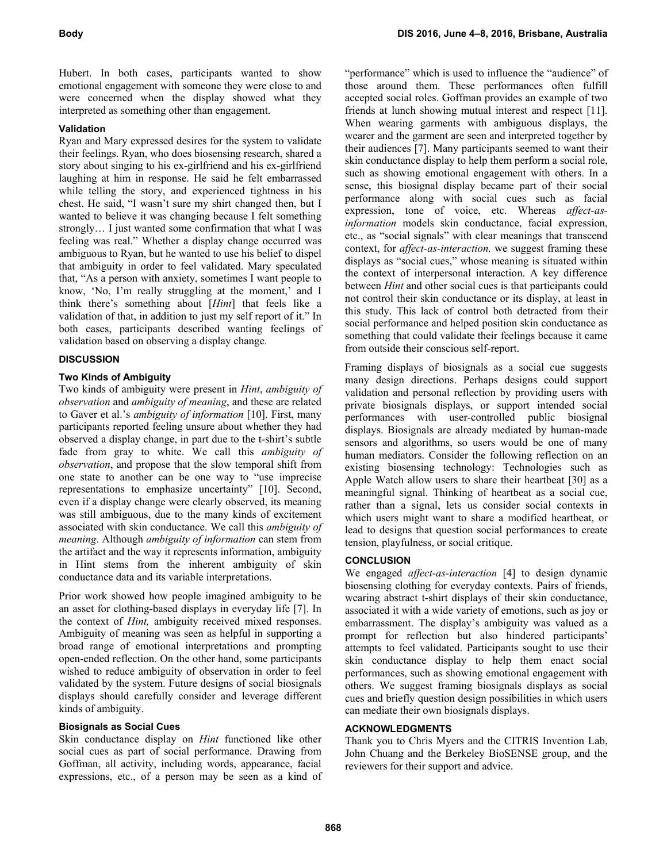Hubert. In both cases, participants wanted to show emotional engagement with someone they were close to and were concerned when the display showed what they interpreted as something other than engagement.

# **Validation**

Ryan and Mary expressed desires for the system to validate their feelings. Ryan, who does biosensing research, shared a story about singing to his ex-girlfriend and his ex-girlfriend laughing at him in response. He said he felt embarrassed while telling the story, and experienced tightness in his chest. He said, "I wasn't sure my shirt changed then, but I wanted to believe it was changing because I felt something strongly… I just wanted some confirmation that what I was feeling was real." Whether a display change occurred was ambiguous to Ryan, but he wanted to use his belief to dispel that ambiguity in order to feel validated. Mary speculated that, "As a person with anxiety, sometimes I want people to know, 'No, I'm really struggling at the moment,' and I think there's something about [*Hint*] that feels like a validation of that, in addition to just my self report of it." In both cases, participants described wanting feelings of validation based on observing a display change.

## **DISCUSSION**

# **Two Kinds of Ambiguity**

Two kinds of ambiguity were present in *Hint*, *ambiguity of observation* and *ambiguity of meaning*, and these are related to Gaver et al.'s *ambiguity of information* [10]. First, many participants reported feeling unsure about whether they had observed a display change, in part due to the t-shirt's subtle fade from gray to white. We call this *ambiguity of observation*, and propose that the slow temporal shift from one state to another can be one way to "use imprecise representations to emphasize uncertainty" [10]. Second, even if a display change were clearly observed, its meaning was still ambiguous, due to the many kinds of excitement associated with skin conductance. We call this *ambiguity of meaning*. Although *ambiguity of information* can stem from the artifact and the way it represents information, ambiguity in Hint stems from the inherent ambiguity of skin conductance data and its variable interpretations.

Prior work showed how people imagined ambiguity to be an asset for clothing-based displays in everyday life [7]. In the context of *Hint,* ambiguity received mixed responses. Ambiguity of meaning was seen as helpful in supporting a broad range of emotional interpretations and prompting open-ended reflection. On the other hand, some participants wished to reduce ambiguity of observation in order to feel validated by the system. Future designs of social biosignals displays should carefully consider and leverage different kinds of ambiguity.

## **Biosignals as Social Cues**

Skin conductance display on *Hint* functioned like other social cues as part of social performance. Drawing from Goffman, all activity, including words, appearance, facial expressions, etc., of a person may be seen as a kind of

"performance" which is used to influence the "audience" of those around them. These performances often fulfill accepted social roles. Goffman provides an example of two friends at lunch showing mutual interest and respect [11]. When wearing garments with ambiguous displays, the wearer and the garment are seen and interpreted together by their audiences [7]. Many participants seemed to want their skin conductance display to help them perform a social role, such as showing emotional engagement with others. In a sense, this biosignal display became part of their social performance along with social cues such as facial expression, tone of voice, etc. Whereas *affect-asinformation* models skin conductance, facial expression, etc., as "social signals" with clear meanings that transcend context, for *affect-as-interaction,* we suggest framing these displays as "social cues," whose meaning is situated within the context of interpersonal interaction. A key difference between *Hint* and other social cues is that participants could not control their skin conductance or its display, at least in this study. This lack of control both detracted from their social performance and helped position skin conductance as something that could validate their feelings because it came from outside their conscious self-report.

Framing displays of biosignals as a social cue suggests many design directions. Perhaps designs could support validation and personal reflection by providing users with private biosignals displays, or support intended social performances with user-controlled public biosignal displays. Biosignals are already mediated by human-made sensors and algorithms, so users would be one of many human mediators. Consider the following reflection on an existing biosensing technology: Technologies such as Apple Watch allow users to share their heartbeat [30] as a meaningful signal. Thinking of heartbeat as a social cue, rather than a signal, lets us consider social contexts in which users might want to share a modified heartbeat, or lead to designs that question social performances to create tension, playfulness, or social critique.

## **CONCLUSION**

We engaged *affect-as-interaction* [4] to design dynamic biosensing clothing for everyday contexts. Pairs of friends, wearing abstract t-shirt displays of their skin conductance, associated it with a wide variety of emotions, such as joy or embarrassment. The display's ambiguity was valued as a prompt for reflection but also hindered participants' attempts to feel validated. Participants sought to use their skin conductance display to help them enact social performances, such as showing emotional engagement with others. We suggest framing biosignals displays as social cues and briefly question design possibilities in which users can mediate their own biosignals displays.

#### **ACKNOWLEDGMENTS**

Thank you to Chris Myers and the CITRIS Invention Lab, John Chuang and the Berkeley BioSENSE group, and the reviewers for their support and advice.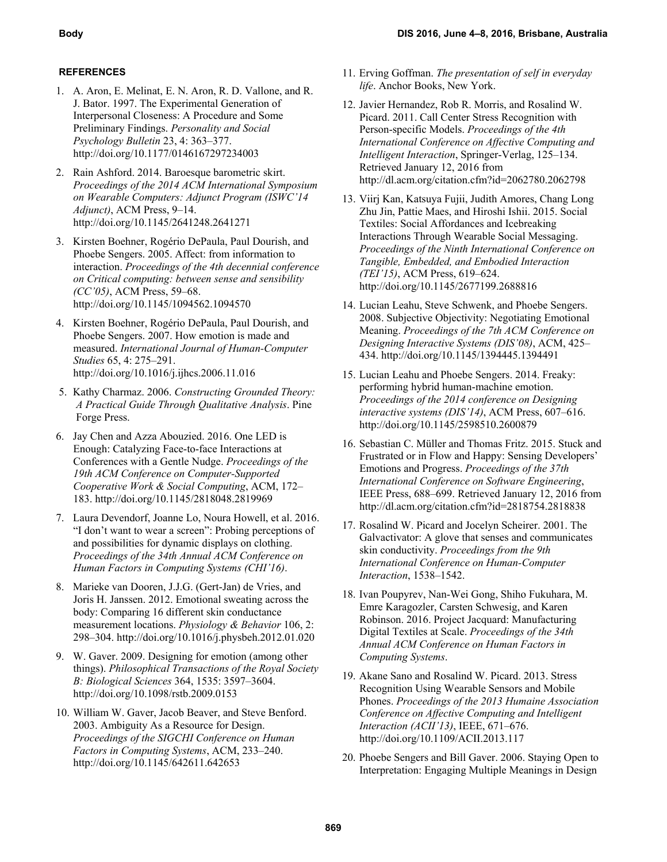## **REFERENCES**

- 1. A. Aron, E. Melinat, E. N. Aron, R. D. Vallone, and R. J. Bator. 1997. The Experimental Generation of Interpersonal Closeness: A Procedure and Some Preliminary Findings. *Personality and Social Psychology Bulletin* 23, 4: 363–377. http://doi.org/10.1177/0146167297234003
- 2. Rain Ashford. 2014. Baroesque barometric skirt. *Proceedings of the 2014 ACM International Symposium on Wearable Computers: Adjunct Program (ISWC'14 Adjunct)*, ACM Press, 9–14. http://doi.org/10.1145/2641248.2641271
- 3. Kirsten Boehner, Rogério DePaula, Paul Dourish, and Phoebe Sengers. 2005. Affect: from information to interaction. *Proceedings of the 4th decennial conference on Critical computing: between sense and sensibility (CC'05)*, ACM Press, 59–68. http://doi.org/10.1145/1094562.1094570
- 4. Kirsten Boehner, Rogério DePaula, Paul Dourish, and Phoebe Sengers. 2007. How emotion is made and measured. *International Journal of Human-Computer Studies* 65, 4: 275–291. http://doi.org/10.1016/j.ijhcs.2006.11.016
- 5. Kathy Charmaz. 2006. *Constructing Grounded Theory: A Practical Guide Through Qualitative Analysis*. Pine Forge Press.
- 6. Jay Chen and Azza Abouzied. 2016. One LED is Enough: Catalyzing Face-to-face Interactions at Conferences with a Gentle Nudge. *Proceedings of the 19th ACM Conference on Computer-Supported Cooperative Work & Social Computing*, ACM, 172– 183. http://doi.org/10.1145/2818048.2819969
- 7. Laura Devendorf, Joanne Lo, Noura Howell, et al. 2016. "I don't want to wear a screen": Probing perceptions of and possibilities for dynamic displays on clothing. *Proceedings of the 34th Annual ACM Conference on Human Factors in Computing Systems (CHI'16)*.
- 8. Marieke van Dooren, J.J.G. (Gert-Jan) de Vries, and Joris H. Janssen. 2012. Emotional sweating across the body: Comparing 16 different skin conductance measurement locations. *Physiology & Behavior* 106, 2: 298–304. http://doi.org/10.1016/j.physbeh.2012.01.020
- 9. W. Gaver. 2009. Designing for emotion (among other things). *Philosophical Transactions of the Royal Society B: Biological Sciences* 364, 1535: 3597–3604. http://doi.org/10.1098/rstb.2009.0153
- 10. William W. Gaver, Jacob Beaver, and Steve Benford. 2003. Ambiguity As a Resource for Design. *Proceedings of the SIGCHI Conference on Human Factors in Computing Systems*, ACM, 233–240. http://doi.org/10.1145/642611.642653
- 11. Erving Goffman. *The presentation of self in everyday life*. Anchor Books, New York.
- 12. Javier Hernandez, Rob R. Morris, and Rosalind W. Picard. 2011. Call Center Stress Recognition with Person-specific Models. *Proceedings of the 4th International Conference on Affective Computing and Intelligent Interaction*, Springer-Verlag, 125–134. Retrieved January 12, 2016 from http://dl.acm.org/citation.cfm?id=2062780.2062798
- 13. Viirj Kan, Katsuya Fujii, Judith Amores, Chang Long Zhu Jin, Pattie Maes, and Hiroshi Ishii. 2015. Social Textiles: Social Affordances and Icebreaking Interactions Through Wearable Social Messaging. *Proceedings of the Ninth International Conference on Tangible, Embedded, and Embodied Interaction (TEI'15)*, ACM Press, 619–624. http://doi.org/10.1145/2677199.2688816
- 14. Lucian Leahu, Steve Schwenk, and Phoebe Sengers. 2008. Subjective Objectivity: Negotiating Emotional Meaning. *Proceedings of the 7th ACM Conference on Designing Interactive Systems (DIS'08)*, ACM, 425– 434. http://doi.org/10.1145/1394445.1394491
- 15. Lucian Leahu and Phoebe Sengers. 2014. Freaky: performing hybrid human-machine emotion. *Proceedings of the 2014 conference on Designing interactive systems (DIS'14)*, ACM Press, 607–616. http://doi.org/10.1145/2598510.2600879
- 16. Sebastian C. Müller and Thomas Fritz. 2015. Stuck and Frustrated or in Flow and Happy: Sensing Developers' Emotions and Progress. *Proceedings of the 37th International Conference on Software Engineering*, IEEE Press, 688–699. Retrieved January 12, 2016 from http://dl.acm.org/citation.cfm?id=2818754.2818838
- 17. Rosalind W. Picard and Jocelyn Scheirer. 2001. The Galvactivator: A glove that senses and communicates skin conductivity. *Proceedings from the 9th International Conference on Human-Computer Interaction*, 1538–1542.
- 18. Ivan Poupyrev, Nan-Wei Gong, Shiho Fukuhara, M. Emre Karagozler, Carsten Schwesig, and Karen Robinson. 2016. Project Jacquard: Manufacturing Digital Textiles at Scale. *Proceedings of the 34th Annual ACM Conference on Human Factors in Computing Systems*.
- 19. Akane Sano and Rosalind W. Picard. 2013. Stress Recognition Using Wearable Sensors and Mobile Phones. *Proceedings of the 2013 Humaine Association Conference on Affective Computing and Intelligent Interaction (ACII'13)*, IEEE, 671–676. http://doi.org/10.1109/ACII.2013.117
- 20. Phoebe Sengers and Bill Gaver. 2006. Staying Open to Interpretation: Engaging Multiple Meanings in Design